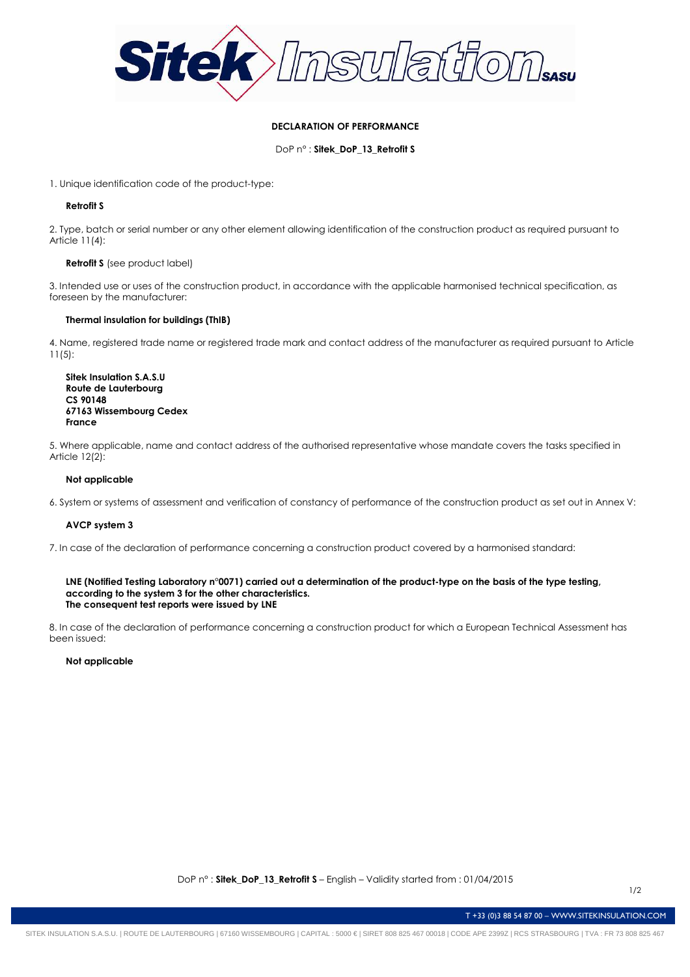

# **DECLARATION OF PERFORMANCE**

DoP n° : **Sitek\_DoP\_13\_Retrofit S**

1. Unique identification code of the product-type:

## **Retrofit S**

2. Type, batch or serial number or any other element allowing identification of the construction product as required pursuant to Article 11(4):

## **Retrofit S** (see product label)

3. Intended use or uses of the construction product, in accordance with the applicable harmonised technical specification, as foreseen by the manufacturer:

## **Thermal insulation for buildings (ThIB)**

4. Name, registered trade name or registered trade mark and contact address of the manufacturer as required pursuant to Article 11(5):

**Sitek Insulation S.A.S.U Route de Lauterbourg CS 90148 67163 Wissembourg Cedex France** 

5. Where applicable, name and contact address of the authorised representative whose mandate covers the tasks specified in Article 12(2):

## **Not applicable**

6. System or systems of assessment and verification of constancy of performance of the construction product as set out in Annex V:

### **AVCP system 3**

7. In case of the declaration of performance concerning a construction product covered by a harmonised standard:

### **LNE (Notified Testing Laboratory n°0071) carried out a determination of the product-type on the basis of the type testing, according to the system 3 for the other characteristics. The consequent test reports were issued by LNE**

8. In case of the declaration of performance concerning a construction product for which a European Technical Assessment has been issued:

### **Not applicable**

T +33 (0)3 88 54 87 00 – WWW.SITEKINSULATION.COM